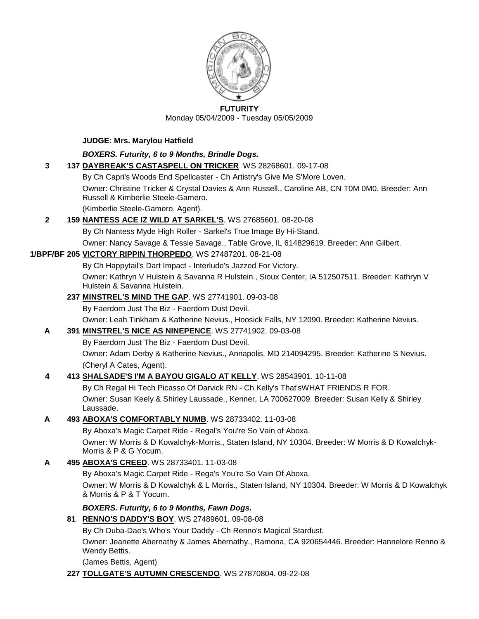

#### **FUTURITY**

Monday 05/04/2009 - Tuesday 05/05/2009

### **JUDGE: Mrs. Marylou Hatfield**

# *BOXERS. Futurity, 6 to 9 Months, Brindle Dogs.*

- **3 137 [DAYBREAK'S CASTASPELL ON TRICKER](http://canis.infodog.com/files/bdogrsl1.prg;makc=WS_28268601;mdog=Daybreak_s_Castaspell_On_Tricker;wins=all)**. WS 28268601. 09-17-08
	- By Ch Capri's Woods End Spellcaster Ch Artistry's Give Me S'More Loven.

Owner: Christine Tricker & Crystal Davies & Ann Russell., Caroline AB, CN T0M 0M0. Breeder: Ann Russell & Kimberlie Steele-Gamero.

(Kimberlie Steele-Gamero, Agent).

# **2 159 [NANTESS ACE IZ WILD AT SARKEL'S](http://canis.infodog.com/files/bdogrsl1.prg;makc=WS_27685601;mdog=Nantess_Ace_Iz_Wild_At_Sarkel_s;wins=all)**. WS 27685601. 08-20-08

By Ch Nantess Myde High Roller - Sarkel's True Image By Hi-Stand.

Owner: Nancy Savage & Tessie Savage., Table Grove, IL 614829619. Breeder: Ann Gilbert.

# **1/BPF/BF 205 [VICTORY RIPPIN THORPEDO](http://canis.infodog.com/files/bdogrsl1.prg;makc=WS_27487201;mdog=Victory_Rippin_Thorpedo;wins=all)**. WS 27487201. 08-21-08

By Ch Happytail's Dart Impact - Interlude's Jazzed For Victory.

Owner: Kathryn V Hulstein & Savanna R Hulstein., Sioux Center, IA 512507511. Breeder: Kathryn V Hulstein & Savanna Hulstein.

# **237 [MINSTREL'S MIND THE GAP](http://canis.infodog.com/files/bdogrsl1.prg;makc=WS_27741901;mdog=Minstrel_s_Mind_The_Gap;wins=all)**. WS 27741901. 09-03-08

By Faerdorn Just The Biz - Faerdorn Dust Devil.

Owner: Leah Tinkham & Katherine Nevius., Hoosick Falls, NY 12090. Breeder: Katherine Nevius.

# **A 391 [MINSTREL'S NICE AS NINEPENCE](http://canis.infodog.com/files/bdogrsl1.prg;makc=WS_27741902;mdog=Minstrel_s_Nice_As_Ninepence;wins=all)**. WS 27741902. 09-03-08

By Faerdorn Just The Biz - Faerdorn Dust Devil.

Owner: Adam Derby & Katherine Nevius., Annapolis, MD 214094295. Breeder: Katherine S Nevius. (Cheryl A Cates, Agent).

# **4 413 [SHALSADE'S I'M A BAYOU GIGALO AT KELLY](http://canis.infodog.com/files/bdogrsl1.prg;makc=WS_28543901;mdog=Shalsade_s_I_m_A_Bayou_Gigalo_At_Kelly;wins=all)**. WS 28543901. 10-11-08

By Ch Regal Hi Tech Picasso Of Darvick RN - Ch Kelly's That'sWHAT FRIENDS R FOR. Owner: Susan Keely & Shirley Laussade., Kenner, LA 700627009. Breeder: Susan Kelly & Shirley Laussade.

# **A 493 [ABOXA'S COMFORTABLY NUMB](http://canis.infodog.com/files/bdogrsl1.prg;makc=WS_28733402;mdog=Aboxa_s_Comfortably_Numb;wins=all)**. WS 28733402. 11-03-08

By Aboxa's Magic Carpet Ride - Regal's You're So Vain of Aboxa. Owner: W Morris & D Kowalchyk-Morris., Staten Island, NY 10304. Breeder: W Morris & D Kowalchyk-Morris & P & G Yocum.

# **A 495 [ABOXA'S CREED](http://canis.infodog.com/files/bdogrsl1.prg;makc=WS_28733401;mdog=Aboxa_s_Creed;wins=all)**. WS 28733401. 11-03-08

By Aboxa's Magic Carpet Ride - Rega's You're So Vain Of Aboxa.

Owner: W Morris & D Kowalchyk & L Morris., Staten Island, NY 10304. Breeder: W Morris & D Kowalchyk & Morris & P & T Yocum.

# *BOXERS. Futurity, 6 to 9 Months, Fawn Dogs.*

# **81 [RENNO'S DADDY'S BOY](http://canis.infodog.com/files/bdogrsl1.prg;makc=WS_27489601;mdog=Renno_s_Daddy_s_Boy;wins=all)**. WS 27489601. 09-08-08

By Ch Duba-Dae's Who's Your Daddy - Ch Renno's Magical Stardust.

Owner: Jeanette Abernathy & James Abernathy., Ramona, CA 920654446. Breeder: Hannelore Renno & Wendy Bettis.

(James Bettis, Agent).

# **227 [TOLLGATE'S AUTUMN CRESCENDO](http://canis.infodog.com/files/bdogrsl1.prg;makc=WS_27870804;mdog=Tollgate_s_Autumn_Crescendo;wins=all)**. WS 27870804. 09-22-08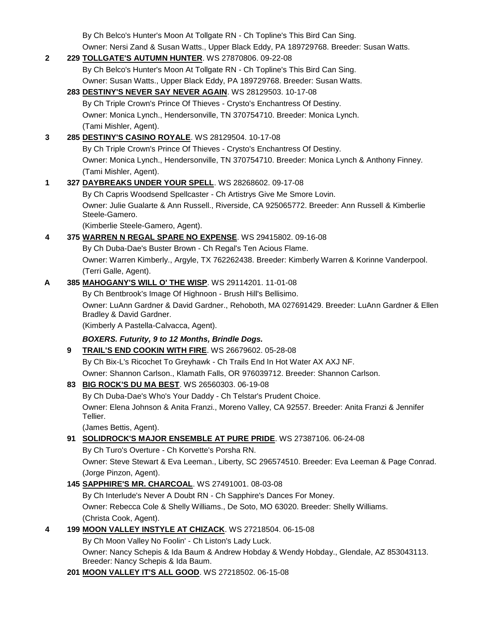By Ch Belco's Hunter's Moon At Tollgate RN - Ch Topline's This Bird Can Sing.

Owner: Nersi Zand & Susan Watts., Upper Black Eddy, PA 189729768. Breeder: Susan Watts.

| $\mathbf{2}$ |    | 229 TOLLGATE'S AUTUMN HUNTER. WS 27870806. 09-22-08                                                                            |
|--------------|----|--------------------------------------------------------------------------------------------------------------------------------|
|              |    | By Ch Belco's Hunter's Moon At Tollgate RN - Ch Topline's This Bird Can Sing.                                                  |
|              |    | Owner: Susan Watts., Upper Black Eddy, PA 189729768. Breeder: Susan Watts.                                                     |
|              |    | 283 DESTINY'S NEVER SAY NEVER AGAIN. WS 28129503. 10-17-08                                                                     |
|              |    | By Ch Triple Crown's Prince Of Thieves - Crysto's Enchantress Of Destiny.                                                      |
|              |    | Owner: Monica Lynch., Hendersonville, TN 370754710. Breeder: Monica Lynch.                                                     |
|              |    | (Tami Mishler, Agent).                                                                                                         |
| 3            |    | 285 DESTINY'S CASINO ROYALE. WS 28129504. 10-17-08                                                                             |
|              |    | By Ch Triple Crown's Prince Of Thieves - Crysto's Enchantress Of Destiny.                                                      |
|              |    | Owner: Monica Lynch., Hendersonville, TN 370754710. Breeder: Monica Lynch & Anthony Finney.                                    |
|              |    | (Tami Mishler, Agent).                                                                                                         |
| 1            |    | 327 DAYBREAKS UNDER YOUR SPELL. WS 28268602. 09-17-08                                                                          |
|              |    | By Ch Capris Woodsend Spellcaster - Ch Artistrys Give Me Smore Lovin.                                                          |
|              |    | Owner: Julie Gualarte & Ann Russell., Riverside, CA 925065772. Breeder: Ann Russell & Kimberlie                                |
|              |    | Steele-Gamero.                                                                                                                 |
|              |    | (Kimberlie Steele-Gamero, Agent).                                                                                              |
| 4            |    | 375 WARREN N REGAL SPARE NO EXPENSE. WS 29415802. 09-16-08                                                                     |
|              |    | By Ch Duba-Dae's Buster Brown - Ch Regal's Ten Acious Flame.                                                                   |
|              |    | Owner: Warren Kimberly., Argyle, TX 762262438. Breeder: Kimberly Warren & Korinne Vanderpool.                                  |
|              |    | (Terri Galle, Agent).                                                                                                          |
| A            |    | 385 MAHOGANY'S WILL O' THE WISP. WS 29114201. 11-01-08                                                                         |
|              |    | By Ch Bentbrook's Image Of Highnoon - Brush Hill's Bellisimo.                                                                  |
|              |    | Owner: LuAnn Gardner & David Gardner., Rehoboth, MA 027691429. Breeder: LuAnn Gardner & Ellen<br>Bradley & David Gardner.      |
|              |    | (Kimberly A Pastella-Calvacca, Agent).                                                                                         |
|              |    | BOXERS. Futurity, 9 to 12 Months, Brindle Dogs.                                                                                |
|              | 9  | TRAIL'S END COOKIN WITH FIRE. WS 26679602. 05-28-08                                                                            |
|              |    | By Ch Bix-L's Ricochet To Greyhawk - Ch Trails End In Hot Water AX AXJ NF.                                                     |
|              |    | Owner: Shannon Carlson., Klamath Falls, OR 976039712. Breeder: Shannon Carlson.                                                |
|              | 83 | <b>BIG ROCK'S DU MA BEST. WS 26560303. 06-19-08</b>                                                                            |
|              |    | By Ch Duba-Dae's Who's Your Daddy - Ch Telstar's Prudent Choice.                                                               |
|              |    | Owner: Elena Johnson & Anita Franzi., Moreno Valley, CA 92557. Breeder: Anita Franzi & Jennifer                                |
|              |    | Tellier.                                                                                                                       |
|              |    | (James Bettis, Agent).                                                                                                         |
|              |    | 91 SOLIDROCK'S MAJOR ENSEMBLE AT PURE PRIDE. WS 27387106. 06-24-08                                                             |
|              |    | By Ch Turo's Overture - Ch Korvette's Porsha RN.                                                                               |
|              |    | Owner: Steve Stewart & Eva Leeman., Liberty, SC 296574510. Breeder: Eva Leeman & Page Conrad.                                  |
|              |    | (Jorge Pinzon, Agent).                                                                                                         |
|              |    | 145 SAPPHIRE'S MR. CHARCOAL. WS 27491001. 08-03-08                                                                             |
|              |    | By Ch Interlude's Never A Doubt RN - Ch Sapphire's Dances For Money.                                                           |
|              |    | Owner: Rebecca Cole & Shelly Williams., De Soto, MO 63020. Breeder: Shelly Williams.                                           |
|              |    | (Christa Cook, Agent).                                                                                                         |
| 4            |    | 199 MOON VALLEY INSTYLE AT CHIZACK. WS 27218504. 06-15-08                                                                      |
|              |    | By Ch Moon Valley No Foolin' - Ch Liston's Lady Luck.                                                                          |
|              |    | Owner: Nancy Schepis & Ida Baum & Andrew Hobday & Wendy Hobday., Glendale, AZ 853043113.<br>Breeder: Nancy Schepis & Ida Baum. |

**201 [MOON VALLEY IT'S ALL GOOD](http://canis.infodog.com/files/bdogrsl1.prg;makc=WS_27218502;mdog=Moon_Valley_It_s_All_Good;wins=all)**. WS 27218502. 06-15-08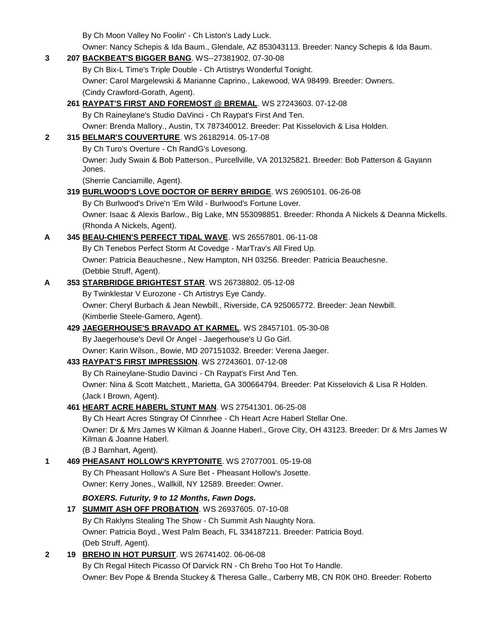By Ch Moon Valley No Foolin' - Ch Liston's Lady Luck.

Owner: Nancy Schepis & Ida Baum., Glendale, AZ 853043113. Breeder: Nancy Schepis & Ida Baum.

| 3            | 207 BACKBEAT'S BIGGER BANG. WS--27381902. 07-30-08                                                                          |
|--------------|-----------------------------------------------------------------------------------------------------------------------------|
|              | By Ch Bix-L Time's Triple Double - Ch Artistrys Wonderful Tonight.                                                          |
|              | Owner: Carol Margelewski & Marianne Caprino., Lakewood, WA 98499. Breeder: Owners.                                          |
|              | (Cindy Crawford-Gorath, Agent).                                                                                             |
|              | 261 RAYPAT'S FIRST AND FOREMOST @ BREMAL. WS 27243603. 07-12-08                                                             |
|              | By Ch Raineylane's Studio DaVinci - Ch Raypat's First And Ten.                                                              |
|              | Owner: Brenda Mallory., Austin, TX 787340012. Breeder: Pat Kisselovich & Lisa Holden.                                       |
| $\mathbf{2}$ | 315 BELMAR'S COUVERTURE. WS 26182914. 05-17-08                                                                              |
|              | By Ch Turo's Overture - Ch RandG's Lovesong.                                                                                |
|              | Owner: Judy Swain & Bob Patterson., Purcellville, VA 201325821. Breeder: Bob Patterson & Gayann<br>Jones.                   |
|              | (Sherrie Canciamille, Agent).                                                                                               |
|              | 319 BURLWOOD'S LOVE DOCTOR OF BERRY BRIDGE. WS 26905101. 06-26-08                                                           |
|              | By Ch Burlwood's Drive'n 'Em Wild - Burlwood's Fortune Lover.                                                               |
|              | Owner: Isaac & Alexis Barlow., Big Lake, MN 553098851. Breeder: Rhonda A Nickels & Deanna Mickells.                         |
|              | (Rhonda A Nickels, Agent).                                                                                                  |
| A            | 345 BEAU-CHIEN'S PERFECT TIDAL WAVE. WS 26557801. 06-11-08                                                                  |
|              | By Ch Tenebos Perfect Storm At Covedge - MarTrav's All Fired Up.                                                            |
|              | Owner: Patricia Beauchesne., New Hampton, NH 03256. Breeder: Patricia Beauchesne.                                           |
|              | (Debbie Struff, Agent).                                                                                                     |
| A            | 353 STARBRIDGE BRIGHTEST STAR. WS 26738802. 05-12-08                                                                        |
|              | By Twinklestar V Eurozone - Ch Artistrys Eye Candy.                                                                         |
|              | Owner: Cheryl Burbach & Jean Newbill., Riverside, CA 925065772. Breeder: Jean Newbill.                                      |
|              | (Kimberlie Steele-Gamero, Agent).                                                                                           |
|              | 429 JAEGERHOUSE'S BRAVADO AT KARMEL. WS 28457101. 05-30-08                                                                  |
|              | By Jaegerhouse's Devil Or Angel - Jaegerhouse's U Go Girl.                                                                  |
|              | Owner: Karin Wilson., Bowie, MD 207151032. Breeder: Verena Jaeger.                                                          |
|              | 433 RAYPAT'S FIRST IMPRESSION. WS 27243601. 07-12-08                                                                        |
|              | By Ch Raineylane-Studio Davinci - Ch Raypat's First And Ten.                                                                |
|              | Owner: Nina & Scott Matchett., Marietta, GA 300664794. Breeder: Pat Kisselovich & Lisa R Holden.                            |
|              | (Jack I Brown, Agent).                                                                                                      |
|              | 461 HEART ACRE HABERL STUNT MAN. WS 27541301. 06-25-08                                                                      |
|              | By Ch Heart Acres Stingray Of Cinnrhee - Ch Heart Acre Haberl Stellar One.                                                  |
|              | Owner: Dr & Mrs James W Kilman & Joanne Haberl., Grove City, OH 43123. Breeder: Dr & Mrs James W<br>Kilman & Joanne Haberl. |
|              | (B J Barnhart, Agent).                                                                                                      |
| 1            | 469 PHEASANT HOLLOW'S KRYPTONITE. WS 27077001. 05-19-08                                                                     |
|              | By Ch Pheasant Hollow's A Sure Bet - Pheasant Hollow's Josette.                                                             |
|              | Owner: Kerry Jones., Wallkill, NY 12589. Breeder: Owner.                                                                    |
|              | BOXERS. Futurity, 9 to 12 Months, Fawn Dogs.                                                                                |
|              | 17 SUMMIT ASH OFF PROBATION. WS 26937605. 07-10-08                                                                          |
|              | By Ch Raklyns Stealing The Show - Ch Summit Ash Naughty Nora.                                                               |
|              | Owner: Patricia Boyd., West Palm Beach, FL 334187211. Breeder: Patricia Boyd.                                               |
|              | (Deb Struff, Agent).                                                                                                        |
| $\mathbf{2}$ | 19 BREHO IN HOT PURSUIT. WS 26741402. 06-06-08                                                                              |
|              | By Ch Regal Hitech Picasso Of Darvick RN - Ch Breho Too Hot To Handle.                                                      |
|              | Owner: Bev Pope & Brenda Stuckey & Theresa Galle., Carberry MB, CN R0K 0H0. Breeder: Roberto                                |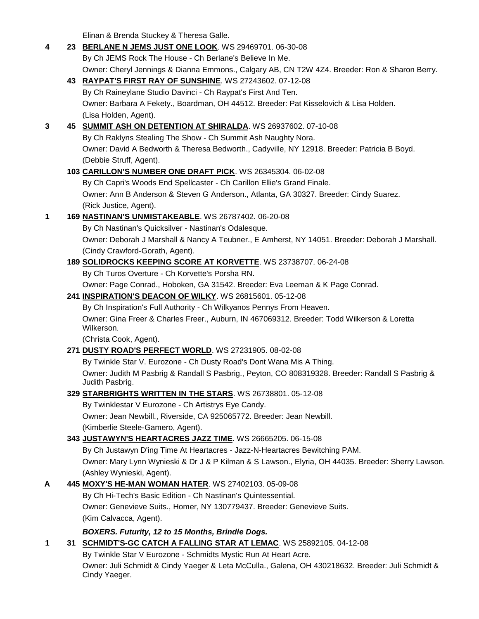Elinan & Brenda Stuckey & Theresa Galle.

| 4 | 23 BERLANE N JEMS JUST ONE LOOK. WS 29469701. 06-30-08                                                              |
|---|---------------------------------------------------------------------------------------------------------------------|
|   | By Ch JEMS Rock The House - Ch Berlane's Believe In Me.                                                             |
|   | Owner: Cheryl Jennings & Dianna Emmons., Calgary AB, CN T2W 4Z4. Breeder: Ron & Sharon Berry.                       |
|   | 43 RAYPAT'S FIRST RAY OF SUNSHINE. WS 27243602. 07-12-08                                                            |
|   | By Ch Raineylane Studio Davinci - Ch Raypat's First And Ten.                                                        |
|   | Owner: Barbara A Fekety., Boardman, OH 44512. Breeder: Pat Kisselovich & Lisa Holden.                               |
|   | (Lisa Holden, Agent).                                                                                               |
| 3 | 45 SUMMIT ASH ON DETENTION AT SHIRALDA. WS 26937602. 07-10-08                                                       |
|   | By Ch Raklyns Stealing The Show - Ch Summit Ash Naughty Nora.                                                       |
|   | Owner: David A Bedworth & Theresa Bedworth., Cadyville, NY 12918. Breeder: Patricia B Boyd.                         |
|   | (Debbie Struff, Agent).                                                                                             |
|   | 103 CARILLON'S NUMBER ONE DRAFT PICK. WS 26345304. 06-02-08                                                         |
|   | By Ch Capri's Woods End Spellcaster - Ch Carillon Ellie's Grand Finale.                                             |
|   | Owner: Ann B Anderson & Steven G Anderson., Atlanta, GA 30327. Breeder: Cindy Suarez.                               |
|   | (Rick Justice, Agent).                                                                                              |
| 1 | 169 NASTINAN'S UNMISTAKEABLE. WS 26787402. 06-20-08                                                                 |
|   | By Ch Nastinan's Quicksilver - Nastinan's Odalesque.                                                                |
|   | Owner: Deborah J Marshall & Nancy A Teubner., E Amherst, NY 14051. Breeder: Deborah J Marshall.                     |
|   | (Cindy Crawford-Gorath, Agent).                                                                                     |
|   | 189 SOLIDROCKS KEEPING SCORE AT KORVETTE. WS 23738707. 06-24-08                                                     |
|   | By Ch Turos Overture - Ch Korvette's Porsha RN.                                                                     |
|   | Owner: Page Conrad., Hoboken, GA 31542. Breeder: Eva Leeman & K Page Conrad.                                        |
|   | 241 INSPIRATION'S DEACON OF WILKY. WS 26815601. 05-12-08                                                            |
|   | By Ch Inspiration's Full Authority - Ch Wilkyanos Pennys From Heaven.                                               |
|   | Owner: Gina Freer & Charles Freer., Auburn, IN 467069312. Breeder: Todd Wilkerson & Loretta<br>Wilkerson.           |
|   | (Christa Cook, Agent).                                                                                              |
|   | 271 DUSTY ROAD'S PERFECT WORLD. WS 27231905. 08-02-08                                                               |
|   | By Twinkle Star V. Eurozone - Ch Dusty Road's Dont Wana Mis A Thing.                                                |
|   | Owner: Judith M Pasbrig & Randall S Pasbrig., Peyton, CO 808319328. Breeder: Randall S Pasbrig &<br>Judith Pasbrig. |
|   | 329 STARBRIGHTS WRITTEN IN THE STARS. WS 26738801. 05-12-08                                                         |
|   | By Twinklestar V Eurozone - Ch Artistrys Eye Candy.                                                                 |
|   | Owner: Jean Newbill., Riverside, CA 925065772. Breeder: Jean Newbill.                                               |
|   | (Kimberlie Steele-Gamero, Agent).                                                                                   |
|   | 343 JUSTAWYN'S HEARTACRES JAZZ TIME. WS 26665205. 06-15-08                                                          |
|   | By Ch Justawyn D'ing Time At Heartacres - Jazz-N-Heartacres Bewitching PAM.                                         |
|   | Owner: Mary Lynn Wynieski & Dr J & P Kilman & S Lawson., Elyria, OH 44035. Breeder: Sherry Lawson.                  |
|   | (Ashley Wynieski, Agent).                                                                                           |
| A | 445 MOXY'S HE-MAN WOMAN HATER. WS 27402103. 05-09-08                                                                |
|   | By Ch Hi-Tech's Basic Edition - Ch Nastinan's Quintessential.                                                       |
|   | Owner: Genevieve Suits., Homer, NY 130779437. Breeder: Genevieve Suits.                                             |
|   | (Kim Calvacca, Agent).                                                                                              |
|   | BOXERS. Futurity, 12 to 15 Months, Brindle Dogs.                                                                    |
| 1 | 31 SCHMIDT'S-GC CATCH A FALLING STAR AT LEMAC. WS 25892105. 04-12-08                                                |
|   | By Twinkle Star V Eurozone - Schmidts Mystic Run At Heart Acre.                                                     |
|   | Owner: Juli Schmidt & Cindy Yaeger & Leta McCulla., Galena, OH 430218632. Breeder: Juli Schmidt &<br>Cindy Yaeger.  |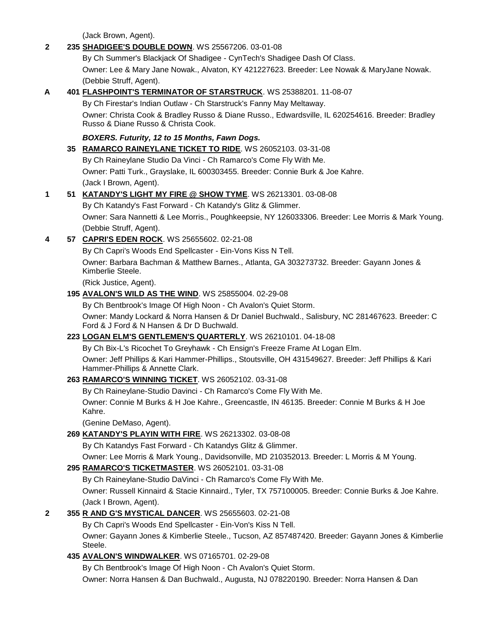(Jack Brown, Agent).

# **2 235 [SHADIGEE'S DOUBLE DOWN](http://canis.infodog.com/files/bdogrsl1.prg;makc=WS_25567206;mdog=Shadigee_s_Double_Down;wins=all)**. WS 25567206. 03-01-08 By Ch Summer's Blackjack Of Shadigee - CynTech's Shadigee Dash Of Class. Owner: Lee & Mary Jane Nowak., Alvaton, KY 421227623. Breeder: Lee Nowak & MaryJane Nowak. (Debbie Struff, Agent). **A 401 [FLASHPOINT'S TERMINATOR OF STARSTRUCK](http://canis.infodog.com/files/bdogrsl1.prg;makc=WS_25388201;mdog=Flashpoint_s_Terminator_Of_Starstruck;wins=all)**. WS 25388201. 11-08-07 By Ch Firestar's Indian Outlaw - Ch Starstruck's Fanny May Meltaway. Owner: Christa Cook & Bradley Russo & Diane Russo., Edwardsville, IL 620254616. Breeder: Bradley Russo & Diane Russo & Christa Cook. *BOXERS. Futurity, 12 to 15 Months, Fawn Dogs.* **35 [RAMARCO RAINEYLANE TICKET TO RIDE](http://canis.infodog.com/files/bdogrsl1.prg;makc=WS_26052103;mdog=Ramarco_Raineylane_Ticket_To_Ride;wins=all)**. WS 26052103. 03-31-08 By Ch Raineylane Studio Da Vinci - Ch Ramarco's Come Fly With Me. Owner: Patti Turk., Grayslake, IL 600303455. Breeder: Connie Burk & Joe Kahre. (Jack I Brown, Agent). **1 51 [KATANDY'S LIGHT MY FIRE @ SHOW TYME](http://canis.infodog.com/files/bdogrsl1.prg;makc=WS_26213301;mdog=Katandy_s_Light_My_Fire_@_Show_Tyme;wins=all)**. WS 26213301. 03-08-08 By Ch Katandy's Fast Forward - Ch Katandy's Glitz & Glimmer. Owner: Sara Nannetti & Lee Morris., Poughkeepsie, NY 126033306. Breeder: Lee Morris & Mark Young. (Debbie Struff, Agent). **4 57 [CAPRI'S EDEN ROCK](http://canis.infodog.com/files/bdogrsl1.prg;makc=WS_25655602;mdog=Capri_s_Eden_Rock;wins=all)**. WS 25655602. 02-21-08 By Ch Capri's Woods End Spellcaster - Ein-Vons Kiss N Tell. Owner: Barbara Bachman & Matthew Barnes., Atlanta, GA 303273732. Breeder: Gayann Jones & Kimberlie Steele. (Rick Justice, Agent). **195 [AVALON'S WILD AS THE WIND](http://canis.infodog.com/files/bdogrsl1.prg;makc=WS_25855004;mdog=Avalon_s_Wild_As_The_Wind;wins=all)**. WS 25855004. 02-29-08 By Ch Bentbrook's Image Of High Noon - Ch Avalon's Quiet Storm. Owner: Mandy Lockard & Norra Hansen & Dr Daniel Buchwald., Salisbury, NC 281467623. Breeder: C Ford & J Ford & N Hansen & Dr D Buchwald. **223 [LOGAN ELM'S GENTLEMEN'S QUARTERLY](http://canis.infodog.com/files/bdogrsl1.prg;makc=WS_26210101;mdog=Logan_Elm_s_Gentlemen_s_Quarterly;wins=all)**. WS 26210101. 04-18-08 By Ch Bix-L's Ricochet To Greyhawk - Ch Ensign's Freeze Frame At Logan Elm. Owner: Jeff Phillips & Kari Hammer-Phillips., Stoutsville, OH 431549627. Breeder: Jeff Phillips & Kari Hammer-Phillips & Annette Clark. **263 [RAMARCO'S WINNING TICKET](http://canis.infodog.com/files/bdogrsl1.prg;makc=WS_26052102;mdog=Ramarco_s_Winning_Ticket;wins=all)**. WS 26052102. 03-31-08 By Ch Raineylane-Studio Davinci - Ch Ramarco's Come Fly With Me. Owner: Connie M Burks & H Joe Kahre., Greencastle, IN 46135. Breeder: Connie M Burks & H Joe Kahre. (Genine DeMaso, Agent). **269 [KATANDY'S PLAYIN WITH FIRE](http://canis.infodog.com/files/bdogrsl1.prg;makc=WS_26213302;mdog=Katandy_s_Playin_With_Fire;wins=all)**. WS 26213302. 03-08-08 By Ch Katandys Fast Forward - Ch Katandys Glitz & Glimmer. Owner: Lee Morris & Mark Young., Davidsonville, MD 210352013. Breeder: L Morris & M Young. **295 [RAMARCO'S TICKETMASTER](http://canis.infodog.com/files/bdogrsl1.prg;makc=WS_26052101;mdog=Ramarco_s_Ticketmaster;wins=all)**. WS 26052101. 03-31-08 By Ch Raineylane-Studio DaVinci - Ch Ramarco's Come Fly With Me. Owner: Russell Kinnaird & Stacie Kinnaird., Tyler, TX 757100005. Breeder: Connie Burks & Joe Kahre. (Jack I Brown, Agent). **2 355 [R AND G'S MYSTICAL DANCER](http://canis.infodog.com/files/bdogrsl1.prg;makc=WS_25655603;mdog=R_And_G_s_Mystical_Dancer;wins=all)**. WS 25655603. 02-21-08 By Ch Capri's Woods End Spellcaster - Ein-Von's Kiss N Tell. Owner: Gayann Jones & Kimberlie Steele., Tucson, AZ 857487420. Breeder: Gayann Jones & Kimberlie Steele. **435 [AVALON'S WINDWALKER](http://canis.infodog.com/files/bdogrsl1.prg;makc=WS_07165701;mdog=Avalon_s_Windwalker;wins=all)**. WS 07165701. 02-29-08 By Ch Bentbrook's Image Of High Noon - Ch Avalon's Quiet Storm. Owner: Norra Hansen & Dan Buchwald., Augusta, NJ 078220190. Breeder: Norra Hansen & Dan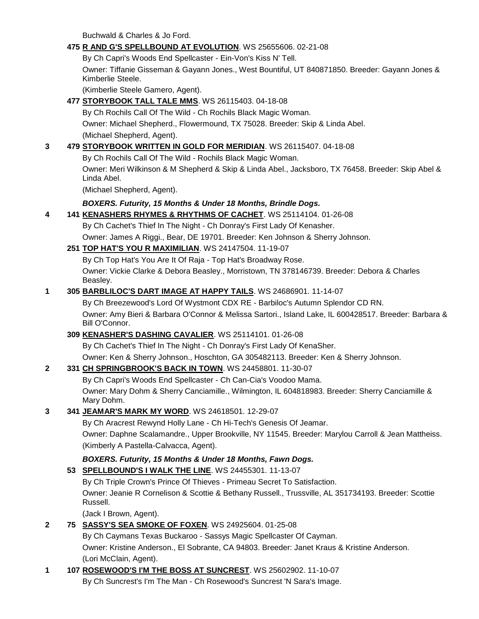Buchwald & Charles & Jo Ford.

### **475 [R AND G'S SPELLBOUND AT EVOLUTION](http://canis.infodog.com/files/bdogrsl1.prg;makc=WS_25655606;mdog=R_And_G_s_Spellbound_At_Evolution;wins=all)**. WS 25655606. 02-21-08

By Ch Capri's Woods End Spellcaster - Ein-Von's Kiss N' Tell. Owner: Tiffanie Gisseman & Gayann Jones., West Bountiful, UT 840871850. Breeder: Gayann Jones & Kimberlie Steele.

(Kimberlie Steele Gamero, Agent).

### **477 [STORYBOOK TALL TALE MMS](http://canis.infodog.com/files/bdogrsl1.prg;makc=WS_26115403;mdog=Storybook_Tall_Tale_Mms;wins=all)**. WS 26115403. 04-18-08

By Ch Rochils Call Of The Wild - Ch Rochils Black Magic Woman. Owner: Michael Shepherd., Flowermound, TX 75028. Breeder: Skip & Linda Abel. (Michael Shepherd, Agent).

### **3 479 [STORYBOOK WRITTEN IN GOLD FOR MERIDIAN](http://canis.infodog.com/files/bdogrsl1.prg;makc=WS_26115407;mdog=Storybook_Written_In_Gold_For_Meridian;wins=all)**. WS 26115407. 04-18-08

By Ch Rochils Call Of The Wild - Rochils Black Magic Woman.

Owner: Meri Wilkinson & M Shepherd & Skip & Linda Abel., Jacksboro, TX 76458. Breeder: Skip Abel & Linda Abel.

(Michael Shepherd, Agent).

### *BOXERS. Futurity, 15 Months & Under 18 Months, Brindle Dogs.*

### **4 141 [KENASHERS RHYMES & RHYTHMS OF CACHET](http://canis.infodog.com/files/bdogrsl1.prg;makc=WS_25114104;mdog=Kenashers_Rhymes_&_Rhythms_Of_Cachet;wins=all)**. WS 25114104. 01-26-08

By Ch Cachet's Thief In The Night - Ch Donray's First Lady Of Kenasher.

Owner: James A Riggi., Bear, DE 19701. Breeder: Ken Johnson & Sherry Johnson.

# **251 [TOP HAT'S YOU R MAXIMILIAN](http://canis.infodog.com/files/bdogrsl1.prg;makc=WS_24147504;mdog=Top_Hat_s_You_R_Maximilian;wins=all)**. WS 24147504. 11-19-07

By Ch Top Hat's You Are It Of Raja - Top Hat's Broadway Rose.

Owner: Vickie Clarke & Debora Beasley., Morristown, TN 378146739. Breeder: Debora & Charles Beasley.

### **1 305 [BARBLILOC'S DART IMAGE AT HAPPY TAILS](http://canis.infodog.com/files/bdogrsl1.prg;makc=WS_24686901;mdog=Barbliloc_s_Dart_Image_At_Happy_Tails;wins=all)**. WS 24686901. 11-14-07

By Ch Breezewood's Lord Of Wystmont CDX RE - Barbiloc's Autumn Splendor CD RN. Owner: Amy Bieri & Barbara O'Connor & Melissa Sartori., Island Lake, IL 600428517. Breeder: Barbara & Bill O'Connor.

#### **309 [KENASHER'S DASHING CAVALIER](http://canis.infodog.com/files/bdogrsl1.prg;makc=WS_25114101;mdog=KenaSher_s_Dashing_Cavalier;wins=all)**. WS 25114101. 01-26-08

By Ch Cachet's Thief In The Night - Ch Donray's First Lady Of KenaSher.

Owner: Ken & Sherry Johnson., Hoschton, GA 305482113. Breeder: Ken & Sherry Johnson.

#### **2 331 [CH SPRINGBROOK'S BACK IN TOWN](http://canis.infodog.com/files/bdogrsl1.prg;makc=WS_24458801;mdog=Ch_Springbrook_s_Back_In_Town;wins=all)**. WS 24458801. 11-30-07

By Ch Capri's Woods End Spellcaster - Ch Can-Cia's Voodoo Mama. Owner: Mary Dohm & Sherry Canciamille., Wilmington, IL 604818983. Breeder: Sherry Canciamille & Mary Dohm.

#### **3 341 [JEAMAR'S MARK MY WORD](http://canis.infodog.com/files/bdogrsl1.prg;makc=WS_24618501;mdog=Jeamar_s_Mark_My_Word;wins=all)**. WS 24618501. 12-29-07

By Ch Aracrest Rewynd Holly Lane - Ch Hi-Tech's Genesis Of Jeamar.

Owner: Daphne Scalamandre., Upper Brookville, NY 11545. Breeder: Marylou Carroll & Jean Mattheiss. (Kimberly A Pastella-Calvacca, Agent).

# *BOXERS. Futurity, 15 Months & Under 18 Months, Fawn Dogs.*

# **53 [SPELLBOUND'S I WALK THE LINE](http://canis.infodog.com/files/bdogrsl1.prg;makc=WS_24455301;mdog=Spellbound_s_I_Walk_The_Line;wins=all)**. WS 24455301. 11-13-07

By Ch Triple Crown's Prince Of Thieves - Primeau Secret To Satisfaction.

Owner: Jeanie R Cornelison & Scottie & Bethany Russell., Trussville, AL 351734193. Breeder: Scottie Russell.

(Jack I Brown, Agent).

#### **2 75 [SASSY'S SEA SMOKE OF FOXEN](http://canis.infodog.com/files/bdogrsl1.prg;makc=WS_24925604;mdog=Sassy_s_Sea_Smoke_Of_Foxen;wins=all)**. WS 24925604. 01-25-08

By Ch Caymans Texas Buckaroo - Sassys Magic Spellcaster Of Cayman.

Owner: Kristine Anderson., El Sobrante, CA 94803. Breeder: Janet Kraus & Kristine Anderson. (Lori McClain, Agent).

#### **1 107 [ROSEWOOD'S I'M THE BOSS AT SUNCREST](http://canis.infodog.com/files/bdogrsl1.prg;makc=WS_25602902;mdog=Rosewood_s_I_m_The_Boss_At_Suncrest;wins=all)**. WS 25602902. 11-10-07

By Ch Suncrest's I'm The Man - Ch Rosewood's Suncrest 'N Sara's Image.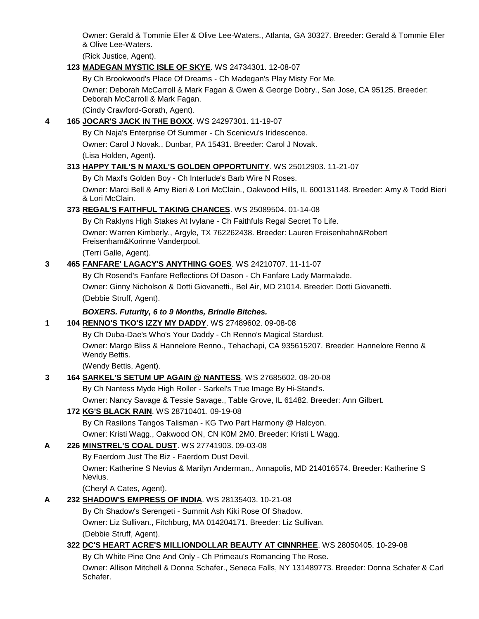Owner: Gerald & Tommie Eller & Olive Lee-Waters., Atlanta, GA 30327. Breeder: Gerald & Tommie Eller & Olive Lee-Waters.

(Rick Justice, Agent).

### **123 [MADEGAN MYSTIC ISLE OF SKYE](http://canis.infodog.com/files/bdogrsl1.prg;makc=WS_24734301;mdog=Madegan_Mystic_Isle_Of_Skye;wins=all)**. WS 24734301. 12-08-07

By Ch Brookwood's Place Of Dreams - Ch Madegan's Play Misty For Me.

Owner: Deborah McCarroll & Mark Fagan & Gwen & George Dobry., San Jose, CA 95125. Breeder: Deborah McCarroll & Mark Fagan.

(Cindy Crawford-Gorath, Agent).

### **4 165 [JOCAR'S JACK IN THE BOXX](http://canis.infodog.com/files/bdogrsl1.prg;makc=WS_24297301;mdog=JoCar_s_Jack_In_The_Boxx;wins=all)**. WS 24297301. 11-19-07

By Ch Naja's Enterprise Of Summer - Ch Scenicvu's Iridescence.

Owner: Carol J Novak., Dunbar, PA 15431. Breeder: Carol J Novak.

(Lisa Holden, Agent).

### **313 [HAPPY TAIL'S N MAXL'S GOLDEN OPPORTUNITY](http://canis.infodog.com/files/bdogrsl1.prg;makc=WS_25012903;mdog=Happy_Tail_s_N_Maxl_s_Golden_Opportunity;wins=all)**. WS 25012903. 11-21-07

By Ch Maxl's Golden Boy - Ch Interlude's Barb Wire N Roses.

Owner: Marci Bell & Amy Bieri & Lori McClain., Oakwood Hills, IL 600131148. Breeder: Amy & Todd Bieri & Lori McClain.

# **373 [REGAL'S FAITHFUL TAKING CHANCES](http://canis.infodog.com/files/bdogrsl1.prg;makc=WS_25089504;mdog=Regal_s_Faithful_Taking_Chances;wins=all)**. WS 25089504. 01-14-08

By Ch Raklyns High Stakes At Ivylane - Ch Faithfuls Regal Secret To Life. Owner: Warren Kimberly., Argyle, TX 762262438. Breeder: Lauren Freisenhahn&Robert Freisenham&Korinne Vanderpool.

(Terri Galle, Agent).

### **3 465 [FANFARE' LAGACY'S ANYTHING GOES](http://canis.infodog.com/files/bdogrsl1.prg;makc=WS_24210707;mdog=Fanfare__Lagacy_s_Anything_Goes;wins=all)**. WS 24210707. 11-11-07

By Ch Rosend's Fanfare Reflections Of Dason - Ch Fanfare Lady Marmalade. Owner: Ginny Nicholson & Dotti Giovanetti., Bel Air, MD 21014. Breeder: Dotti Giovanetti. (Debbie Struff, Agent).

# *BOXERS. Futurity, 6 to 9 Months, Brindle Bitches.*

# **1 104 [RENNO'S TKO'S IZZY MY DADDY](http://canis.infodog.com/files/bdogrsl1.prg;makc=WS_27489602;mdog=Renno_s_TKO_s_Izzy_My_Daddy;wins=all)**. WS 27489602. 09-08-08

By Ch Duba-Dae's Who's Your Daddy - Ch Renno's Magical Stardust.

Owner: Margo Bliss & Hannelore Renno., Tehachapi, CA 935615207. Breeder: Hannelore Renno & Wendy Bettis.

(Wendy Bettis, Agent).

# **3 164 [SARKEL'S SETUM UP AGAIN @ NANTESS](http://canis.infodog.com/files/bdogrsl1.prg;makc=WS_27685602;mdog=Sarkel_s_Setum_Up_Again_@_Nantess;wins=all)**. WS 27685602. 08-20-08

By Ch Nantess Myde High Roller - Sarkel's True Image By Hi-Stand's.

Owner: Nancy Savage & Tessie Savage., Table Grove, IL 61482. Breeder: Ann Gilbert.

# **172 [KG'S BLACK RAIN](http://canis.infodog.com/files/bdogrsl1.prg;makc=WS_28710401;mdog=KG_s_Black_Rain;wins=all)**. WS 28710401. 09-19-08

By Ch Rasilons Tangos Talisman - KG Two Part Harmony @ Halcyon.

Owner: Kristi Wagg., Oakwood ON, CN K0M 2M0. Breeder: Kristi L Wagg.

#### **A 226 [MINSTREL'S COAL DUST](http://canis.infodog.com/files/bdogrsl1.prg;makc=WS_27741903;mdog=Minstrel_s_Coal_Dust;wins=all)**. WS 27741903. 09-03-08

By Faerdorn Just The Biz - Faerdorn Dust Devil.

Owner: Katherine S Nevius & Marilyn Anderman., Annapolis, MD 214016574. Breeder: Katherine S Nevius.

(Cheryl A Cates, Agent).

# **A 232 [SHADOW'S EMPRESS OF INDIA](http://canis.infodog.com/files/bdogrsl1.prg;makc=WS_28135403;mdog=Shadow_s_Empress_Of_India;wins=all)**. WS 28135403. 10-21-08

By Ch Shadow's Serengeti - Summit Ash Kiki Rose Of Shadow. Owner: Liz Sullivan., Fitchburg, MA 014204171. Breeder: Liz Sullivan. (Debbie Struff, Agent).

# **322 [DC'S HEART ACRE'S MILLIONDOLLAR BEAUTY AT CINNRHEE](http://canis.infodog.com/files/bdogrsl1.prg;makc=WS_28050405;mdog=DC_s_Heart_Acre_s_MillionDollar_Beauty_At_CinnRhee;wins=all)**. WS 28050405. 10-29-08

By Ch White Pine One And Only - Ch Primeau's Romancing The Rose.

Owner: Allison Mitchell & Donna Schafer., Seneca Falls, NY 131489773. Breeder: Donna Schafer & Carl Schafer.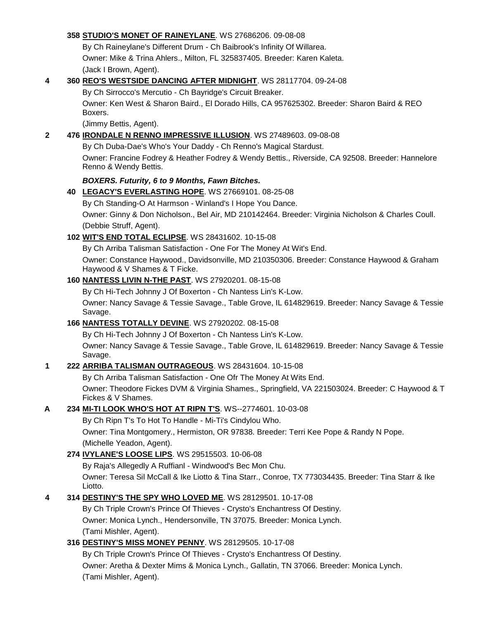#### **358 [STUDIO'S MONET OF RAINEYLANE](http://canis.infodog.com/files/bdogrsl1.prg;makc=WS_27686206;mdog=Studio_s_Monet_Of_Raineylane;wins=all)**. WS 27686206. 09-08-08

By Ch Raineylane's Different Drum - Ch Baibrook's Infinity Of Willarea. Owner: Mike & Trina Ahlers., Milton, FL 325837405. Breeder: Karen Kaleta. (Jack I Brown, Agent).

#### **4 360 [REO'S WESTSIDE DANCING AFTER MIDNIGHT](http://canis.infodog.com/files/bdogrsl1.prg;makc=WS_28117704;mdog=REO_s_Westside_Dancing_After_Midnight;wins=all)**. WS 28117704. 09-24-08

By Ch Sirrocco's Mercutio - Ch Bayridge's Circuit Breaker.

Owner: Ken West & Sharon Baird., El Dorado Hills, CA 957625302. Breeder: Sharon Baird & REO Boxers.

(Jimmy Bettis, Agent).

#### **2 476 [IRONDALE N RENNO IMPRESSIVE ILLUSION](http://canis.infodog.com/files/bdogrsl1.prg;makc=WS_27489603;mdog=Irondale_N_Renno_Impressive_Illusion;wins=all)**. WS 27489603. 09-08-08

By Ch Duba-Dae's Who's Your Daddy - Ch Renno's Magical Stardust. Owner: Francine Fodrey & Heather Fodrey & Wendy Bettis., Riverside, CA 92508. Breeder: Hannelore Renno & Wendy Bettis.

### *BOXERS. Futurity, 6 to 9 Months, Fawn Bitches.*

**40 [LEGACY'S EVERLASTING HOPE](http://canis.infodog.com/files/bdogrsl1.prg;makc=WS_27669101;mdog=Legacy_s_Everlasting_Hope;wins=all)**. WS 27669101. 08-25-08

By Ch Standing-O At Harmson - Winland's I Hope You Dance.

Owner: Ginny & Don Nicholson., Bel Air, MD 210142464. Breeder: Virginia Nicholson & Charles Coull. (Debbie Struff, Agent).

### **102 [WIT'S END TOTAL ECLIPSE](http://canis.infodog.com/files/bdogrsl1.prg;makc=WS_28431602;mdog=Wit_s_End_Total_Eclipse;wins=all)**. WS 28431602. 10-15-08

By Ch Arriba Talisman Satisfaction - One For The Money At Wit's End.

Owner: Constance Haywood., Davidsonville, MD 210350306. Breeder: Constance Haywood & Graham Haywood & V Shames & T Ficke.

### **160 [NANTESS LIVIN N-THE PAST](http://canis.infodog.com/files/bdogrsl1.prg;makc=WS_27920201;mdog=Nantess_Livin_N-The_Past;wins=all)**. WS 27920201. 08-15-08

By Ch Hi-Tech Johnny J Of Boxerton - Ch Nantess Lin's K-Low.

Owner: Nancy Savage & Tessie Savage., Table Grove, IL 614829619. Breeder: Nancy Savage & Tessie Savage.

#### **166 [NANTESS TOTALLY DEVINE](http://canis.infodog.com/files/bdogrsl1.prg;makc=WS_27920202;mdog=Nantess_Totally_Devine;wins=all)**. WS 27920202. 08-15-08

By Ch Hi-Tech Johnny J Of Boxerton - Ch Nantess Lin's K-Low.

Owner: Nancy Savage & Tessie Savage., Table Grove, IL 614829619. Breeder: Nancy Savage & Tessie Savage.

# **1 222 [ARRIBA TALISMAN OUTRAGEOUS](http://canis.infodog.com/files/bdogrsl1.prg;makc=WS_28431604;mdog=Arriba_Talisman_Outrageous;wins=all)**. WS 28431604. 10-15-08

By Ch Arriba Talisman Satisfaction - One Ofr The Money At Wits End.

Owner: Theodore Fickes DVM & Virginia Shames., Springfield, VA 221503024. Breeder: C Haywood & T Fickes & V Shames.

#### **A 234 [MI-TI LOOK WHO'S HOT AT RIPN T'S](http://canis.infodog.com/files/bdogrsl1.prg;makc=WS--2774601;mdog=Mi-Ti_Look_Who_s_Hot_At_Ripn_T_s;wins=all)**. WS--2774601. 10-03-08

By Ch Ripn T's To Hot To Handle - Mi-Ti's Cindylou Who.

Owner: Tina Montgomery., Hermiston, OR 97838. Breeder: Terri Kee Pope & Randy N Pope. (Michelle Yeadon, Agent).

#### **274 [IVYLANE'S LOOSE LIPS](http://canis.infodog.com/files/bdogrsl1.prg;makc=WS_29515503;mdog=Ivylane_s_Loose_Lips;wins=all)**. WS 29515503. 10-06-08

By Raja's Allegedly A Ruffianl - Windwood's Bec Mon Chu.

Owner: Teresa Sil McCall & Ike Liotto & Tina Starr., Conroe, TX 773034435. Breeder: Tina Starr & Ike Liotto.

#### **4 314 [DESTINY'S THE SPY WHO LOVED ME](http://canis.infodog.com/files/bdogrsl1.prg;makc=WS_28129501;mdog=Destiny_s_The_Spy_Who_Loved_Me;wins=all)**. WS 28129501. 10-17-08

By Ch Triple Crown's Prince Of Thieves - Crysto's Enchantress Of Destiny. Owner: Monica Lynch., Hendersonville, TN 37075. Breeder: Monica Lynch. (Tami Mishler, Agent).

#### **316 [DESTINY'S MISS MONEY PENNY](http://canis.infodog.com/files/bdogrsl1.prg;makc=WS_28129505;mdog=Destiny_s_Miss_Money_Penny;wins=all)**. WS 28129505. 10-17-08

By Ch Triple Crown's Prince Of Thieves - Crysto's Enchantress Of Destiny. Owner: Aretha & Dexter Mims & Monica Lynch., Gallatin, TN 37066. Breeder: Monica Lynch. (Tami Mishler, Agent).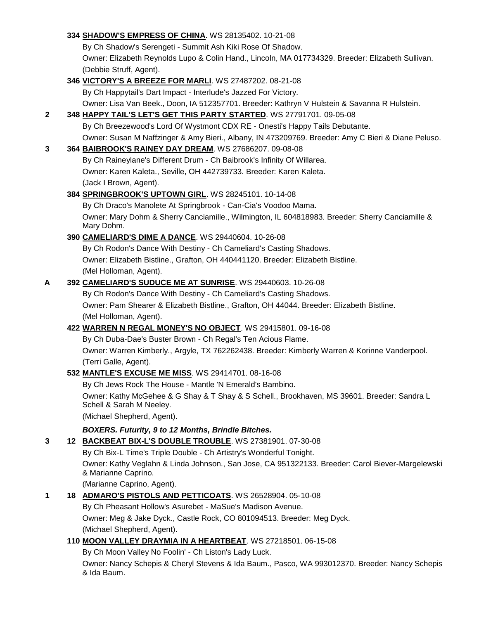|   | 334 SHADOW'S EMPRESS OF CHINA. WS 28135402. 10-21-08                                                                    |
|---|-------------------------------------------------------------------------------------------------------------------------|
|   | By Ch Shadow's Serengeti - Summit Ash Kiki Rose Of Shadow.                                                              |
|   | Owner: Elizabeth Reynolds Lupo & Colin Hand., Lincoln, MA 017734329. Breeder: Elizabeth Sullivan.                       |
|   | (Debbie Struff, Agent).                                                                                                 |
|   | 346 VICTORY'S A BREEZE FOR MARLI. WS 27487202. 08-21-08                                                                 |
|   | By Ch Happytail's Dart Impact - Interlude's Jazzed For Victory.                                                         |
|   | Owner: Lisa Van Beek., Doon, IA 512357701. Breeder: Kathryn V Hulstein & Savanna R Hulstein.                            |
| 2 | 348 HAPPY TAIL'S LET'S GET THIS PARTY STARTED. WS 27791701. 09-05-08                                                    |
|   | By Ch Breezewood's Lord Of Wystmont CDX RE - Onesti's Happy Tails Debutante.                                            |
|   | Owner: Susan M Naffzinger & Amy Bieri., Albany, IN 473209769. Breeder: Amy C Bieri & Diane Peluso.                      |
| 3 | 364 BAIBROOK'S RAINEY DAY DREAM. WS 27686207. 09-08-08                                                                  |
|   | By Ch Raineylane's Different Drum - Ch Baibrook's Infinity Of Willarea.                                                 |
|   | Owner: Karen Kaleta., Seville, OH 442739733. Breeder: Karen Kaleta.                                                     |
|   | (Jack I Brown, Agent).                                                                                                  |
|   | 384 SPRINGBROOK'S UPTOWN GIRL. WS 28245101. 10-14-08                                                                    |
|   | By Ch Draco's Manolete At Springbrook - Can-Cia's Voodoo Mama.                                                          |
|   | Owner: Mary Dohm & Sherry Canciamille., Wilmington, IL 604818983. Breeder: Sherry Canciamille &                         |
|   | Mary Dohm.                                                                                                              |
|   | 390 CAMELIARD'S DIME A DANCE. WS 29440604. 10-26-08                                                                     |
|   | By Ch Rodon's Dance With Destiny - Ch Cameliard's Casting Shadows.                                                      |
|   | Owner: Elizabeth Bistline., Grafton, OH 440441120. Breeder: Elizabeth Bistline.                                         |
|   | (Mel Holloman, Agent).                                                                                                  |
| A | 392 CAMELIARD'S SUDUCE ME AT SUNRISE. WS 29440603. 10-26-08                                                             |
|   | By Ch Rodon's Dance With Destiny - Ch Cameliard's Casting Shadows.                                                      |
|   | Owner: Pam Shearer & Elizabeth Bistline., Grafton, OH 44044. Breeder: Elizabeth Bistline.                               |
|   | (Mel Holloman, Agent).                                                                                                  |
|   | 422 WARREN N REGAL MONEY'S NO OBJECT. WS 29415801. 09-16-08                                                             |
|   | By Ch Duba-Dae's Buster Brown - Ch Regal's Ten Acious Flame.                                                            |
|   | Owner: Warren Kimberly., Argyle, TX 762262438. Breeder: Kimberly Warren & Korinne Vanderpool.                           |
|   | (Terri Galle, Agent).                                                                                                   |
|   | 532 MANTLE'S EXCUSE ME MISS. WS 29414701. 08-16-08                                                                      |
|   | By Ch Jews Rock The House - Mantle 'N Emerald's Bambino.                                                                |
|   | Owner: Kathy McGehee & G Shay & T Shay & S Schell., Brookhaven, MS 39601. Breeder: Sandra L                             |
|   | Schell & Sarah M Neeley.                                                                                                |
|   | (Michael Shepherd, Agent).                                                                                              |
|   | BOXERS. Futurity, 9 to 12 Months, Brindle Bitches.                                                                      |
| 3 | 12 BACKBEAT BIX-L'S DOUBLE TROUBLE. WS 27381901. 07-30-08                                                               |
|   | By Ch Bix-L Time's Triple Double - Ch Artistry's Wonderful Tonight.                                                     |
|   | Owner: Kathy Veglahn & Linda Johnson., San Jose, CA 951322133. Breeder: Carol Biever-Margelewski<br>& Marianne Caprino. |
|   | (Marianne Caprino, Agent).                                                                                              |
| 1 | 18 ADMARO'S PISTOLS AND PETTICOATS. WS 26528904. 05-10-08                                                               |
|   | By Ch Pheasant Hollow's Asurebet - MaSue's Madison Avenue.                                                              |
|   | Owner: Meg & Jake Dyck., Castle Rock, CO 801094513. Breeder: Meg Dyck.                                                  |
|   | (Michael Shepherd, Agent).                                                                                              |
|   | 110 MOON VALLEY DRAYMIA IN A HEARTBEAT. WS 27218501. 06-15-08                                                           |
|   | By Ch Moon Valley No Foolin' - Ch Liston's Lady Luck.                                                                   |
|   | Owner: Nancy Schepis & Cheryl Stevens & Ida Baum., Pasco, WA 993012370. Breeder: Nancy Schepis<br>& Ida Baum.           |
|   |                                                                                                                         |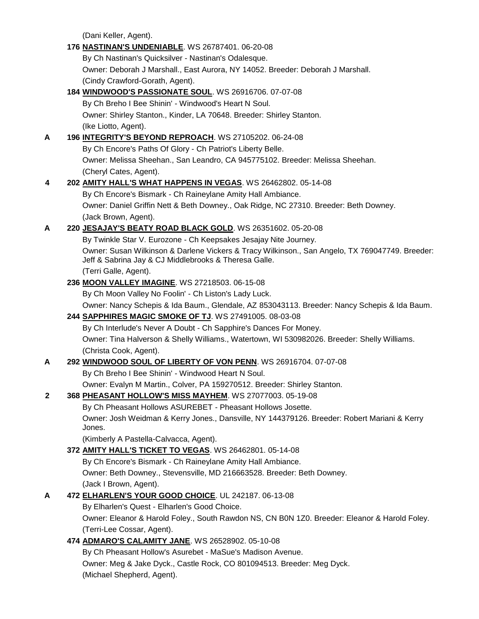(Dani Keller, Agent).

|             | 176 NASTINAN'S UNDENIABLE. WS 26787401. 06-20-08                                                                                     |
|-------------|--------------------------------------------------------------------------------------------------------------------------------------|
|             | By Ch Nastinan's Quicksilver - Nastinan's Odalesque.                                                                                 |
|             | Owner: Deborah J Marshall., East Aurora, NY 14052. Breeder: Deborah J Marshall.                                                      |
|             | (Cindy Crawford-Gorath, Agent).                                                                                                      |
|             | 184 WINDWOOD'S PASSIONATE SOUL. WS 26916706. 07-07-08                                                                                |
|             | By Ch Breho I Bee Shinin' - Windwood's Heart N Soul.                                                                                 |
|             | Owner: Shirley Stanton., Kinder, LA 70648. Breeder: Shirley Stanton.                                                                 |
|             | (Ike Liotto, Agent).                                                                                                                 |
| A           | 196 INTEGRITY'S BEYOND REPROACH. WS 27105202. 06-24-08                                                                               |
|             | By Ch Encore's Paths Of Glory - Ch Patriot's Liberty Belle.                                                                          |
|             | Owner: Melissa Sheehan., San Leandro, CA 945775102. Breeder: Melissa Sheehan.                                                        |
|             | (Cheryl Cates, Agent).                                                                                                               |
| 4           | 202 AMITY HALL'S WHAT HAPPENS IN VEGAS. WS 26462802. 05-14-08                                                                        |
|             | By Ch Encore's Bismark - Ch Raineylane Amity Hall Ambiance.                                                                          |
|             | Owner: Daniel Griffin Nett & Beth Downey., Oak Ridge, NC 27310. Breeder: Beth Downey.                                                |
|             | (Jack Brown, Agent).                                                                                                                 |
| A           | 220 JESAJAY'S BEATY ROAD BLACK GOLD. WS 26351602. 05-20-08                                                                           |
|             | By Twinkle Star V. Eurozone - Ch Keepsakes Jesajay Nite Journey.                                                                     |
|             | Owner: Susan Wilkinson & Darlene Vickers & Tracy Wilkinson., San Angelo, TX 769047749. Breeder:                                      |
|             | Jeff & Sabrina Jay & CJ Middlebrooks & Theresa Galle.                                                                                |
|             | (Terri Galle, Agent).                                                                                                                |
|             | 236 MOON VALLEY IMAGINE. WS 27218503. 06-15-08                                                                                       |
|             | By Ch Moon Valley No Foolin' - Ch Liston's Lady Luck.                                                                                |
|             | Owner: Nancy Schepis & Ida Baum., Glendale, AZ 853043113. Breeder: Nancy Schepis & Ida Baum.                                         |
|             | 244 SAPPHIRES MAGIC SMOKE OF TJ. WS 27491005. 08-03-08                                                                               |
|             | By Ch Interlude's Never A Doubt - Ch Sapphire's Dances For Money.                                                                    |
|             | Owner: Tina Halverson & Shelly Williams., Watertown, WI 530982026. Breeder: Shelly Williams.                                         |
|             | (Christa Cook, Agent).                                                                                                               |
| A           | 292 WINDWOOD SOUL OF LIBERTY OF VON PENN. WS 26916704. 07-07-08                                                                      |
|             | By Ch Breho I Bee Shinin' - Windwood Heart N Soul.                                                                                   |
| $\mathbf 2$ | Owner: Evalyn M Martin., Colver, PA 159270512. Breeder: Shirley Stanton.<br>368 PHEASANT HOLLOW'S MISS MAYHEM. WS 27077003. 05-19-08 |
|             | By Ch Pheasant Hollows ASUREBET - Pheasant Hollows Josette.                                                                          |
|             | Owner: Josh Weidman & Kerry Jones., Dansville, NY 144379126. Breeder: Robert Mariani & Kerry                                         |
|             | Jones.                                                                                                                               |
|             | (Kimberly A Pastella-Calvacca, Agent).                                                                                               |
|             | 372 AMITY HALL'S TICKET TO VEGAS. WS 26462801. 05-14-08                                                                              |
|             | By Ch Encore's Bismark - Ch Raineylane Amity Hall Ambiance.                                                                          |
|             | Owner: Beth Downey., Stevensville, MD 216663528. Breeder: Beth Downey.                                                               |
|             | (Jack I Brown, Agent).                                                                                                               |
| A           | 472 ELHARLEN'S YOUR GOOD CHOICE. UL 242187. 06-13-08                                                                                 |
|             | By Elharlen's Quest - Elharlen's Good Choice.                                                                                        |
|             | Owner: Eleanor & Harold Foley., South Rawdon NS, CN B0N 1Z0. Breeder: Eleanor & Harold Foley.                                        |
|             | (Terri-Lee Cossar, Agent).                                                                                                           |
|             | 474 ADMARO'S CALAMITY JANE. WS 26528902. 05-10-08                                                                                    |
|             | By Ch Pheasant Hollow's Asurebet - MaSue's Madison Avenue.                                                                           |
|             | Owner: Meg & Jake Dyck., Castle Rock, CO 801094513. Breeder: Meg Dyck.                                                               |
|             | (Michael Shepherd, Agent).                                                                                                           |
|             |                                                                                                                                      |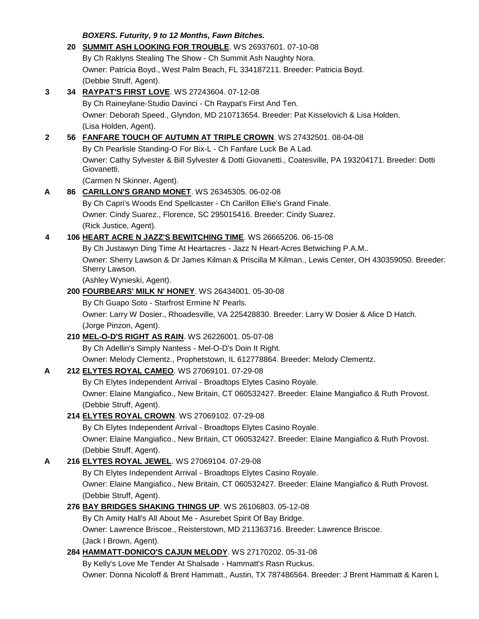*BOXERS. Futurity, 9 to 12 Months, Fawn Bitches.* **20 [SUMMIT ASH LOOKING FOR TROUBLE](http://canis.infodog.com/files/bdogrsl1.prg;makc=WS_26937601;mdog=Summit_Ash_Looking_For_Trouble;wins=all)**. WS 26937601. 07-10-08 By Ch Raklyns Stealing The Show - Ch Summit Ash Naughty Nora. Owner: Patricia Boyd., West Palm Beach, FL 334187211. Breeder: Patricia Boyd. (Debbie Struff, Agent). **3 34 [RAYPAT'S FIRST LOVE](http://canis.infodog.com/files/bdogrsl1.prg;makc=WS_27243604;mdog=Raypat_s_First_Love;wins=all)**. WS 27243604. 07-12-08 By Ch Raineylane-Studio Davinci - Ch Raypat's First And Ten. Owner: Deborah Speed., Glyndon, MD 210713654. Breeder: Pat Kisselovich & Lisa Holden. (Lisa Holden, Agent). **2 56 [FANFARE TOUCH OF AUTUMN AT TRIPLE CROWN](http://canis.infodog.com/files/bdogrsl1.prg;makc=WS_27432501;mdog=Fanfare_Touch_Of_Autumn_At_Triple_Crown;wins=all)**. WS 27432501. 08-04-08 By Ch Pearlisle Standing-O For Bix-L - Ch Fanfare Luck Be A Lad. Owner: Cathy Sylvester & Bill Sylvester & Dotti Giovanetti., Coatesville, PA 193204171. Breeder: Dotti Giovanetti. (Carmen N Skinner, Agent). **A 86 [CARILLON'S GRAND MONET](http://canis.infodog.com/files/bdogrsl1.prg;makc=WS_26345305;mdog=Carillon_s_Grand_Monet;wins=all)**. WS 26345305. 06-02-08 By Ch Capri's Woods End Spellcaster - Ch Carillon Ellie's Grand Finale. Owner: Cindy Suarez., Florence, SC 295015416. Breeder: Cindy Suarez. (Rick Justice, Agent). **4 106 [HEART ACRE N JAZZ'S BEWITCHING TIME](http://canis.infodog.com/files/bdogrsl1.prg;makc=WS_26665206;mdog=Heart_Acre_N_Jazz_s_Bewitching_Time;wins=all)**. WS 26665206. 06-15-08 By Ch Justawyn Ding Time At Heartacres - Jazz N Heart-Acres Betwiching P.A.M.. Owner: Sherry Lawson & Dr James Kilman & Priscilla M Kilman., Lewis Center, OH 430359050. Breeder: Sherry Lawson. (Ashley Wynieski, Agent). **200 [FOURBEARS' MILK N' HONEY](http://canis.infodog.com/files/bdogrsl1.prg;makc=WS_26434001;mdog=Fourbears__Milk_N__Honey;wins=all)**. WS 26434001. 05-30-08 By Ch Guapo Soto - Starfrost Ermine N' Pearls. Owner: Larry W Dosier., Rhoadesville, VA 225428830. Breeder: Larry W Dosier & Alice D Hatch. (Jorge Pinzon, Agent). **210 [MEL-O-D'S RIGHT AS RAIN](http://canis.infodog.com/files/bdogrsl1.prg;makc=WS_26226001;mdog=Mel-O-D_s_Right_As_Rain;wins=all)**. WS 26226001. 05-07-08 By Ch Adellin's Simply Nantess - Mel-O-D's Doin It Right. Owner: Melody Clementz., Prophetstown, IL 612778864. Breeder: Melody Clementz. **A 212 [ELYTES ROYAL CAMEO](http://canis.infodog.com/files/bdogrsl1.prg;makc=WS_27069101;mdog=Elytes_Royal_Cameo;wins=all)**. WS 27069101. 07-29-08 By Ch Elytes Independent Arrival - Broadtops Elytes Casino Royale. Owner: Elaine Mangiafico., New Britain, CT 060532427. Breeder: Elaine Mangiafico & Ruth Provost. (Debbie Struff, Agent). **214 [ELYTES ROYAL CROWN](http://canis.infodog.com/files/bdogrsl1.prg;makc=WS_27069102;mdog=Elytes_Royal_Crown;wins=all)**. WS 27069102. 07-29-08 By Ch Elytes Independent Arrival - Broadtops Elytes Casino Royale. Owner: Elaine Mangiafico., New Britain, CT 060532427. Breeder: Elaine Mangiafico & Ruth Provost. (Debbie Struff, Agent). **A 216 [ELYTES ROYAL JEWEL](http://canis.infodog.com/files/bdogrsl1.prg;makc=WS_27069104;mdog=Elytes_Royal_Jewel;wins=all)**. WS 27069104. 07-29-08 By Ch Elytes Independent Arrival - Broadtops Elytes Casino Royale. Owner: Elaine Mangiafico., New Britain, CT 060532427. Breeder: Elaine Mangiafico & Ruth Provost. (Debbie Struff, Agent). **276 [BAY BRIDGES SHAKING THINGS UP](http://canis.infodog.com/files/bdogrsl1.prg;makc=WS_26106803;mdog=Bay_Bridges_Shaking_Things_Up;wins=all)**. WS 26106803. 05-12-08 By Ch Amity Hall's All About Me - Asurebet Spirit Of Bay Bridge. Owner: Lawrence Briscoe., Reisterstown, MD 211363716. Breeder: Lawrence Briscoe. (Jack I Brown, Agent). **284 [HAMMATT-DONICO'S CAJUN MELODY](http://canis.infodog.com/files/bdogrsl1.prg;makc=WS_27170202;mdog=Hammatt-Donico_s_Cajun_Melody;wins=all)**. WS 27170202. 05-31-08 By Kelly's Love Me Tender At Shalsade - Hammatt's Rasn Ruckus. Owner: Donna Nicoloff & Brent Hammatt., Austin, TX 787486564. Breeder: J Brent Hammatt & Karen L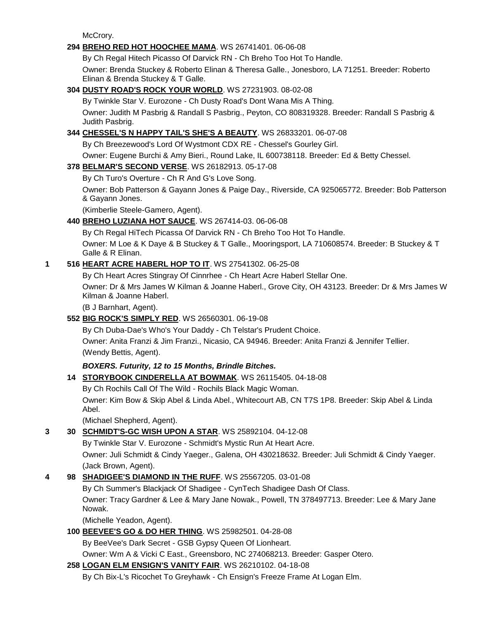McCrory.

# **294 [BREHO RED HOT HOOCHEE MAMA](http://canis.infodog.com/files/bdogrsl1.prg;makc=WS_26741401;mdog=Breho_Red_Hot_Hoochee_Mama;wins=all)**. WS 26741401. 06-06-08

By Ch Regal Hitech Picasso Of Darvick RN - Ch Breho Too Hot To Handle.

Owner: Brenda Stuckey & Roberto Elinan & Theresa Galle., Jonesboro, LA 71251. Breeder: Roberto Elinan & Brenda Stuckey & T Galle.

# **304 [DUSTY ROAD'S ROCK YOUR WORLD](http://canis.infodog.com/files/bdogrsl1.prg;makc=WS_27231903;mdog=Dusty_Road_s_Rock_Your_World;wins=all)**. WS 27231903. 08-02-08

By Twinkle Star V. Eurozone - Ch Dusty Road's Dont Wana Mis A Thing.

Owner: Judith M Pasbrig & Randall S Pasbrig., Peyton, CO 808319328. Breeder: Randall S Pasbrig & Judith Pasbrig.

# **344 [CHESSEL'S N HAPPY TAIL'S SHE'S A BEAUTY](http://canis.infodog.com/files/bdogrsl1.prg;makc=WS_26833201;mdog=Chessel_s_N_Happy_Tail_s_She_s_A_Beauty;wins=all)**. WS 26833201. 06-07-08

By Ch Breezewood's Lord Of Wystmont CDX RE - Chessel's Gourley Girl.

Owner: Eugene Burchi & Amy Bieri., Round Lake, IL 600738118. Breeder: Ed & Betty Chessel.

### **378 [BELMAR'S SECOND VERSE](http://canis.infodog.com/files/bdogrsl1.prg;makc=WS_26182913;mdog=Belmar_s_Second_Verse;wins=all)**. WS 26182913. 05-17-08

By Ch Turo's Overture - Ch R And G's Love Song.

Owner: Bob Patterson & Gayann Jones & Paige Day., Riverside, CA 925065772. Breeder: Bob Patterson & Gayann Jones.

(Kimberlie Steele-Gamero, Agent).

# **440 [BREHO LUZIANA HOT SAUCE](http://canis.infodog.com/files/bdogrsl1.prg;makc=WS_267414-03;mdog=Breho_Luziana_Hot_Sauce;wins=all)**. WS 267414-03. 06-06-08

By Ch Regal HiTech Picassa Of Darvick RN - Ch Breho Too Hot To Handle.

Owner: M Loe & K Daye & B Stuckey & T Galle., Mooringsport, LA 710608574. Breeder: B Stuckey & T Galle & R Elinan.

# **1 516 [HEART ACRE HABERL HOP TO IT](http://canis.infodog.com/files/bdogrsl1.prg;makc=WS_27541302;mdog=Heart_Acre_Haberl_Hop_To_It;wins=all)**. WS 27541302. 06-25-08

By Ch Heart Acres Stingray Of Cinnrhee - Ch Heart Acre Haberl Stellar One.

Owner: Dr & Mrs James W Kilman & Joanne Haberl., Grove City, OH 43123. Breeder: Dr & Mrs James W Kilman & Joanne Haberl.

(B J Barnhart, Agent).

# **552 [BIG ROCK'S SIMPLY RED](http://canis.infodog.com/files/bdogrsl1.prg;makc=WS_26560301;mdog=Big_Rock_s_Simply_Red;wins=all)**. WS 26560301. 06-19-08

By Ch Duba-Dae's Who's Your Daddy - Ch Telstar's Prudent Choice.

Owner: Anita Franzi & Jim Franzi., Nicasio, CA 94946. Breeder: Anita Franzi & Jennifer Tellier. (Wendy Bettis, Agent).

# *BOXERS. Futurity, 12 to 15 Months, Brindle Bitches.*

**14 [STORYBOOK CINDERELLA AT BOWMAK](http://canis.infodog.com/files/bdogrsl1.prg;makc=WS_26115405;mdog=Storybook_Cinderella_At_Bowmak;wins=all)**. WS 26115405. 04-18-08

By Ch Rochils Call Of The Wild - Rochils Black Magic Woman.

Owner: Kim Bow & Skip Abel & Linda Abel., Whitecourt AB, CN T7S 1P8. Breeder: Skip Abel & Linda Abel.

(Michael Shepherd, Agent).

# **3 30 [SCHMIDT'S-GC WISH UPON A STAR](http://canis.infodog.com/files/bdogrsl1.prg;makc=WS_25892104;mdog=Schmidt_s-GC_Wish_Upon_A_Star;wins=all)**. WS 25892104. 04-12-08

By Twinkle Star V. Eurozone - Schmidt's Mystic Run At Heart Acre.

Owner: Juli Schmidt & Cindy Yaeger., Galena, OH 430218632. Breeder: Juli Schmidt & Cindy Yaeger. (Jack Brown, Agent).

# **4 98 [SHADIGEE'S DIAMOND IN THE RUFF](http://canis.infodog.com/files/bdogrsl1.prg;makc=WS_25567205;mdog=Shadigee_s_Diamond_In_The_Ruff;wins=all)**. WS 25567205. 03-01-08

By Ch Summer's Blackjack Of Shadigee - CynTech Shadigee Dash Of Class.

Owner: Tracy Gardner & Lee & Mary Jane Nowak., Powell, TN 378497713. Breeder: Lee & Mary Jane Nowak.

(Michelle Yeadon, Agent).

# **100 [BEEVEE'S GO & DO HER THING](http://canis.infodog.com/files/bdogrsl1.prg;makc=WS_25982501;mdog=BeeVee_s_Go_&_Do_Her_Thing;wins=all)**. WS 25982501. 04-28-08

By BeeVee's Dark Secret - GSB Gypsy Queen Of Lionheart.

Owner: Wm A & Vicki C East., Greensboro, NC 274068213. Breeder: Gasper Otero.

# **258 [LOGAN ELM ENSIGN'S VANITY FAIR](http://canis.infodog.com/files/bdogrsl1.prg;makc=WS_26210102;mdog=Logan_Elm_Ensign_s_Vanity_Fair;wins=all)**. WS 26210102. 04-18-08

By Ch Bix-L's Ricochet To Greyhawk - Ch Ensign's Freeze Frame At Logan Elm.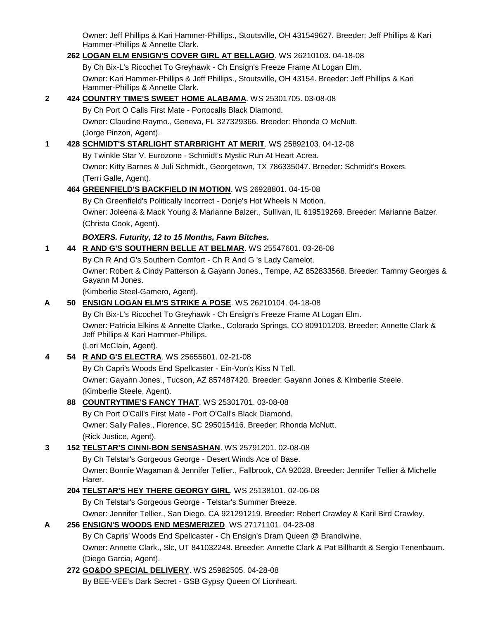Owner: Jeff Phillips & Kari Hammer-Phillips., Stoutsville, OH 431549627. Breeder: Jeff Phillips & Kari Hammer-Phillips & Annette Clark.

### **262 [LOGAN ELM ENSIGN'S COVER GIRL AT BELLAGIO](http://canis.infodog.com/files/bdogrsl1.prg;makc=WS_26210103;mdog=Logan_Elm_Ensign_s_Cover_Girl_At_Bellagio;wins=all)**. WS 26210103. 04-18-08 By Ch Bix-L's Ricochet To Greyhawk - Ch Ensign's Freeze Frame At Logan Elm. Owner: Kari Hammer-Phillips & Jeff Phillips., Stoutsville, OH 43154. Breeder: Jeff Phillips & Kari Hammer-Phillips & Annette Clark.

# **2 424 [COUNTRY TIME'S SWEET HOME ALABAMA](http://canis.infodog.com/files/bdogrsl1.prg;makc=WS_25301705;mdog=Country_Time_s_Sweet_Home_Alabama;wins=all)**. WS 25301705. 03-08-08 By Ch Port O Calls First Mate - Portocalls Black Diamond. Owner: Claudine Raymo., Geneva, FL 327329366. Breeder: Rhonda O McNutt. (Jorge Pinzon, Agent).

# **1 428 [SCHMIDT'S STARLIGHT STARBRIGHT AT MERIT](http://canis.infodog.com/files/bdogrsl1.prg;makc=WS_25892103;mdog=Schmidt_s_Starlight_Starbright_At_Merit;wins=all)**. WS 25892103. 04-12-08 By Twinkle Star V. Eurozone - Schmidt's Mystic Run At Heart Acrea. Owner: Kitty Barnes & Juli Schmidt., Georgetown, TX 786335047. Breeder: Schmidt's Boxers. (Terri Galle, Agent). **464 [GREENFIELD'S BACKFIELD IN MOTION](http://canis.infodog.com/files/bdogrsl1.prg;makc=WS_26928801;mdog=Greenfield_s_Backfield_In_Motion;wins=all)**. WS 26928801. 04-15-08 By Ch Greenfield's Politically Incorrect - Donje's Hot Wheels N Motion. Owner: Joleena & Mack Young & Marianne Balzer., Sullivan, IL 619519269. Breeder: Marianne Balzer.

(Christa Cook, Agent).

*BOXERS. Futurity, 12 to 15 Months, Fawn Bitches.*

**1 44 [R AND G'S SOUTHERN BELLE AT BELMAR](http://canis.infodog.com/files/bdogrsl1.prg;makc=WS_25547601;mdog=R_And_G_s_Southern_Belle_At_Belmar;wins=all)**. WS 25547601. 03-26-08

By Ch R And G's Southern Comfort - Ch R And G 's Lady Camelot. Owner: Robert & Cindy Patterson & Gayann Jones., Tempe, AZ 852833568. Breeder: Tammy Georges &

(Kimberlie Steel-Gamero, Agent).

**A 50 [ENSIGN LOGAN ELM'S STRIKE A POSE](http://canis.infodog.com/files/bdogrsl1.prg;makc=WS_26210104;mdog=Ensign_Logan_Elm_s_Strike_A_Pose;wins=all)**. WS 26210104. 04-18-08

By Ch Bix-L's Ricochet To Greyhawk - Ch Ensign's Freeze Frame At Logan Elm. Owner: Patricia Elkins & Annette Clarke., Colorado Springs, CO 809101203. Breeder: Annette Clark & Jeff Phillips & Kari Hammer-Phillips.

(Lori McClain, Agent).

Gayann M Jones.

# **4 54 [R AND G'S ELECTRA](http://canis.infodog.com/files/bdogrsl1.prg;makc=WS_25655601;mdog=R_And_G_s_Electra;wins=all)**. WS 25655601. 02-21-08

By Ch Capri's Woods End Spellcaster - Ein-Von's Kiss N Tell. Owner: Gayann Jones., Tucson, AZ 857487420. Breeder: Gayann Jones & Kimberlie Steele. (Kimberlie Steele, Agent).

# **88 [COUNTRYTIME'S FANCY THAT](http://canis.infodog.com/files/bdogrsl1.prg;makc=WS_25301701;mdog=Countrytime_s_Fancy_That;wins=all)**. WS 25301701. 03-08-08

By Ch Port O'Call's First Mate - Port O'Call's Black Diamond. Owner: Sally Palles., Florence, SC 295015416. Breeder: Rhonda McNutt. (Rick Justice, Agent).

**3 152 [TELSTAR'S CINNI-BON SENSASHAN](http://canis.infodog.com/files/bdogrsl1.prg;makc=WS_25791201;mdog=Telstar_s_Cinni-Bon_Sensashan;wins=all)**. WS 25791201. 02-08-08

By Ch Telstar's Gorgeous George - Desert Winds Ace of Base. Owner: Bonnie Wagaman & Jennifer Tellier., Fallbrook, CA 92028. Breeder: Jennifer Tellier & Michelle Harer.

# **204 [TELSTAR'S HEY THERE GEORGY GIRL](http://canis.infodog.com/files/bdogrsl1.prg;makc=WS_25138101;mdog=Telstar_s_Hey_There_Georgy_Girl;wins=all)**. WS 25138101. 02-06-08

By Ch Telstar's Gorgeous George - Telstar's Summer Breeze.

Owner: Jennifer Tellier., San Diego, CA 921291219. Breeder: Robert Crawley & Karil Bird Crawley.

# **A 256 [ENSIGN'S WOODS END MESMERIZED](http://canis.infodog.com/files/bdogrsl1.prg;makc=WS_27171101;mdog=Ensign_s_Woods_End_Mesmerized;wins=all)**. WS 27171101. 04-23-08

By Ch Capris' Woods End Spellcaster - Ch Ensign's Dram Queen @ Brandiwine.

Owner: Annette Clark., Slc, UT 841032248. Breeder: Annette Clark & Pat Billhardt & Sergio Tenenbaum. (Diego Garcia, Agent).

**272 [GO&DO SPECIAL DELIVERY](http://canis.infodog.com/files/bdogrsl1.prg;makc=WS_25982505;mdog=GO&DO_Special_Delivery;wins=all)**. WS 25982505. 04-28-08

By BEE-VEE's Dark Secret - GSB Gypsy Queen Of Lionheart.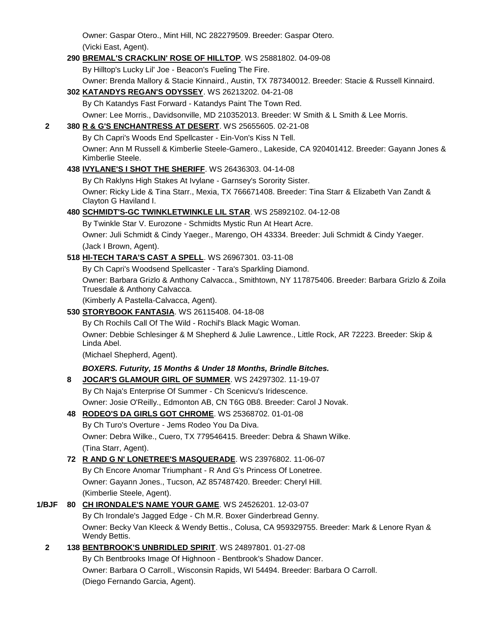Owner: Gaspar Otero., Mint Hill, NC 282279509. Breeder: Gaspar Otero. (Vicki East, Agent).

### **290 [BREMAL'S CRACKLIN' ROSE OF HILLTOP](http://canis.infodog.com/files/bdogrsl1.prg;makc=WS_25881802;mdog=Bremal_s_Cracklin__Rose_Of_Hilltop;wins=all)**. WS 25881802. 04-09-08

By Hilltop's Lucky Lil' Joe - Beacon's Fueling The Fire.

Owner: Brenda Mallory & Stacie Kinnaird., Austin, TX 787340012. Breeder: Stacie & Russell Kinnaird.

# **302 [KATANDYS REGAN'S ODYSSEY](http://canis.infodog.com/files/bdogrsl1.prg;makc=WS_26213202;mdog=Katandys_Regan_s_Odyssey;wins=all)**. WS 26213202. 04-21-08

By Ch Katandys Fast Forward - Katandys Paint The Town Red.

Owner: Lee Morris., Davidsonville, MD 210352013. Breeder: W Smith & L Smith & Lee Morris.

### **2 380 [R & G'S ENCHANTRESS AT DESERT](http://canis.infodog.com/files/bdogrsl1.prg;makc=WS_25655605;mdog=R_&_G_s_Enchantress_At_Desert;wins=all)**. WS 25655605. 02-21-08

By Ch Capri's Woods End Spellcaster - Ein-Von's Kiss N Tell.

Owner: Ann M Russell & Kimberlie Steele-Gamero., Lakeside, CA 920401412. Breeder: Gayann Jones & Kimberlie Steele.

# **438 [IVYLANE'S I SHOT THE SHERIFF](http://canis.infodog.com/files/bdogrsl1.prg;makc=WS_26436303;mdog=Ivylane_s_I_Shot_The_Sheriff;wins=all)**. WS 26436303. 04-14-08

By Ch Raklyns High Stakes At Ivylane - Garnsey's Sorority Sister.

Owner: Ricky Lide & Tina Starr., Mexia, TX 766671408. Breeder: Tina Starr & Elizabeth Van Zandt & Clayton G Haviland I.

### **480 [SCHMIDT'S-GC TWINKLETWINKLE LIL STAR](http://canis.infodog.com/files/bdogrsl1.prg;makc=WS_25892102;mdog=Schmidt_s-GC_TwinkleTwinkle_Lil_Star;wins=all)**. WS 25892102. 04-12-08

By Twinkle Star V. Eurozone - Schmidts Mystic Run At Heart Acre.

Owner: Juli Schmidt & Cindy Yaeger., Marengo, OH 43334. Breeder: Juli Schmidt & Cindy Yaeger. (Jack I Brown, Agent).

### **518 [HI-TECH TARA'S CAST A SPELL](http://canis.infodog.com/files/bdogrsl1.prg;makc=WS_26967301;mdog=Hi-Tech_Tara_s_Cast_A_Spell;wins=all)**. WS 26967301. 03-11-08

By Ch Capri's Woodsend Spellcaster - Tara's Sparkling Diamond.

Owner: Barbara Grizlo & Anthony Calvacca., Smithtown, NY 117875406. Breeder: Barbara Grizlo & Zoila Truesdale & Anthony Calvacca.

(Kimberly A Pastella-Calvacca, Agent).

# **530 [STORYBOOK FANTASIA](http://canis.infodog.com/files/bdogrsl1.prg;makc=WS_26115408;mdog=Storybook_Fantasia;wins=all)**. WS 26115408. 04-18-08

By Ch Rochils Call Of The Wild - Rochil's Black Magic Woman.

Owner: Debbie Schlesinger & M Shepherd & Julie Lawrence., Little Rock, AR 72223. Breeder: Skip & Linda Abel.

(Michael Shepherd, Agent).

# *BOXERS. Futurity, 15 Months & Under 18 Months, Brindle Bitches.*

**8 [JOCAR'S GLAMOUR GIRL OF SUMMER](http://canis.infodog.com/files/bdogrsl1.prg;makc=WS_24297302;mdog=Jocar_s_Glamour_Girl_Of_Summer;wins=all)**. WS 24297302. 11-19-07

By Ch Naja's Enterprise Of Summer - Ch Scenicvu's Iridescence. Owner: Josie O'Reilly., Edmonton AB, CN T6G 0B8. Breeder: Carol J Novak.

# **48 [RODEO'S DA GIRLS GOT CHROME](http://canis.infodog.com/files/bdogrsl1.prg;makc=WS_25368702;mdog=Rodeo_s_Da_Girls_Got_Chrome;wins=all)**. WS 25368702. 01-01-08

By Ch Turo's Overture - Jems Rodeo You Da Diva. Owner: Debra Wilke., Cuero, TX 779546415. Breeder: Debra & Shawn Wilke. (Tina Starr, Agent).

# **72 [R AND G N' LONETREE'S MASQUERADE](http://canis.infodog.com/files/bdogrsl1.prg;makc=WS_23976802;mdog=R_And_G_N__Lonetree_s_Masquerade;wins=all)**. WS 23976802. 11-06-07 By Ch Encore Anomar Triumphant - R And G's Princess Of Lonetree. Owner: Gayann Jones., Tucson, AZ 857487420. Breeder: Cheryl Hill. (Kimberlie Steele, Agent).

# **1/BJF 80 [CH IRONDALE'S NAME YOUR GAME](http://canis.infodog.com/files/bdogrsl1.prg;makc=WS_24526201;mdog=Ch_Irondale_s_Name_Your_Game;wins=all)**. WS 24526201. 12-03-07

By Ch Irondale's Jagged Edge - Ch M.R. Boxer Ginderbread Genny. Owner: Becky Van Kleeck & Wendy Bettis., Colusa, CA 959329755. Breeder: Mark & Lenore Ryan & Wendy Bettis.

# **2 138 [BENTBROOK'S UNBRIDLED SPIRIT](http://canis.infodog.com/files/bdogrsl1.prg;makc=WS_24897801;mdog=Bentbrook_s_Unbridled_Spirit;wins=all)**. WS 24897801. 01-27-08 By Ch Bentbrooks Image Of Highnoon - Bentbrook's Shadow Dancer. Owner: Barbara O Carroll., Wisconsin Rapids, WI 54494. Breeder: Barbara O Carroll. (Diego Fernando Garcia, Agent).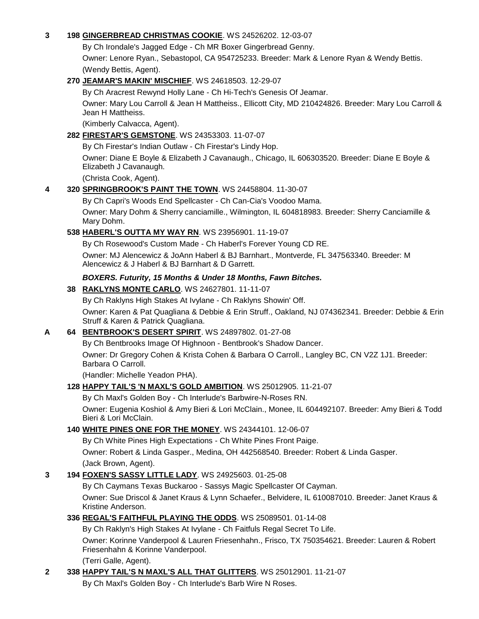#### **3 198 [GINGERBREAD CHRISTMAS COOKIE](http://canis.infodog.com/files/bdogrsl1.prg;makc=WS_24526202;mdog=Gingerbread_Christmas_Cookie;wins=all)**. WS 24526202. 12-03-07

By Ch Irondale's Jagged Edge - Ch MR Boxer Gingerbread Genny.

Owner: Lenore Ryan., Sebastopol, CA 954725233. Breeder: Mark & Lenore Ryan & Wendy Bettis. (Wendy Bettis, Agent).

#### **270 [JEAMAR'S MAKIN' MISCHIEF](http://canis.infodog.com/files/bdogrsl1.prg;makc=WS_24618503;mdog=Jeamar_s_Makin__Mischief;wins=all)**. WS 24618503. 12-29-07

By Ch Aracrest Rewynd Holly Lane - Ch Hi-Tech's Genesis Of Jeamar. Owner: Mary Lou Carroll & Jean H Mattheiss., Ellicott City, MD 210424826. Breeder: Mary Lou Carroll & Jean H Mattheiss.

(Kimberly Calvacca, Agent).

### **282 [FIRESTAR'S GEMSTONE](http://canis.infodog.com/files/bdogrsl1.prg;makc=WS_24353303;mdog=Firestar_s_Gemstone;wins=all)**. WS 24353303. 11-07-07

By Ch Firestar's Indian Outlaw - Ch Firestar's Lindy Hop.

Owner: Diane E Boyle & Elizabeth J Cavanaugh., Chicago, IL 606303520. Breeder: Diane E Boyle & Elizabeth J Cavanaugh.

(Christa Cook, Agent).

### **4 320 [SPRINGBROOK'S PAINT THE TOWN](http://canis.infodog.com/files/bdogrsl1.prg;makc=WS_24458804;mdog=Springbrook_s_Paint_The_Town;wins=all)**. WS 24458804. 11-30-07

By Ch Capri's Woods End Spellcaster - Ch Can-Cia's Voodoo Mama.

Owner: Mary Dohm & Sherry canciamille., Wilmington, IL 604818983. Breeder: Sherry Canciamille & Mary Dohm.

# **538 [HABERL'S OUTTA MY WAY RN](http://canis.infodog.com/files/bdogrsl1.prg;makc=WS_23956901;mdog=Haberl_s_Outta_My_Way_RN;wins=all)**. WS 23956901. 11-19-07

By Ch Rosewood's Custom Made - Ch Haberl's Forever Young CD RE. Owner: MJ Alencewicz & JoAnn Haberl & BJ Barnhart., Montverde, FL 347563340. Breeder: M Alencewicz & J Haberl & BJ Barnhart & D Garrett.

### *BOXERS. Futurity, 15 Months & Under 18 Months, Fawn Bitches.*

### **38 [RAKLYNS MONTE CARLO](http://canis.infodog.com/files/bdogrsl1.prg;makc=WS_24627801;mdog=Raklyns_Monte_Carlo;wins=all)**. WS 24627801. 11-11-07

By Ch Raklyns High Stakes At Ivylane - Ch Raklyns Showin' Off.

Owner: Karen & Pat Quagliana & Debbie & Erin Struff., Oakland, NJ 074362341. Breeder: Debbie & Erin Struff & Karen & Patrick Quagliana.

# **A 64 [BENTBROOK'S DESERT SPIRIT](http://canis.infodog.com/files/bdogrsl1.prg;makc=WS_24897802;mdog=Bentbrook_s_Desert_Spirit;wins=all)**. WS 24897802. 01-27-08

By Ch Bentbrooks Image Of Highnoon - Bentbrook's Shadow Dancer. Owner: Dr Gregory Cohen & Krista Cohen & Barbara O Carroll., Langley BC, CN V2Z 1J1. Breeder: Barbara O Carroll.

(Handler: Michelle Yeadon PHA).

#### **128 [HAPPY TAIL'S 'N MAXL'S GOLD AMBITION](http://canis.infodog.com/files/bdogrsl1.prg;makc=WS_25012905;mdog=Happy_Tail_s__N_Maxl_s_Gold_Ambition;wins=all)**. WS 25012905. 11-21-07

By Ch Maxl's Golden Boy - Ch Interlude's Barbwire-N-Roses RN.

Owner: Eugenia Koshiol & Amy Bieri & Lori McClain., Monee, IL 604492107. Breeder: Amy Bieri & Todd Bieri & Lori McClain.

#### **140 [WHITE PINES ONE FOR THE MONEY](http://canis.infodog.com/files/bdogrsl1.prg;makc=WS_24344101;mdog=White_Pines_One_For_The_Money;wins=all)**. WS 24344101. 12-06-07

By Ch White Pines High Expectations - Ch White Pines Front Paige. Owner: Robert & Linda Gasper., Medina, OH 442568540. Breeder: Robert & Linda Gasper. (Jack Brown, Agent).

#### **3 194 [FOXEN'S SASSY](http://canis.infodog.com/files/bdogrsl1.prg;makc=WS_24925603;mdog=Foxen_s_Sassy_Little_Lady;wins=all) LITTLE LADY**. WS 24925603. 01-25-08

By Ch Caymans Texas Buckaroo - Sassys Magic Spellcaster Of Cayman.

Owner: Sue Driscol & Janet Kraus & Lynn Schaefer., Belvidere, IL 610087010. Breeder: Janet Kraus & Kristine Anderson.

#### **336 [REGAL'S FAITHFUL PLAYING THE ODDS](http://canis.infodog.com/files/bdogrsl1.prg;makc=WS_25089501;mdog=Regal_s_Faithful_Playing_The_Odds;wins=all)**. WS 25089501. 01-14-08

By Ch Raklyn's High Stakes At Ivylane - Ch Faitfuls Regal Secret To Life.

Owner: Korinne Vanderpool & Lauren Friesenhahn., Frisco, TX 750354621. Breeder: Lauren & Robert Friesenhahn & Korinne Vanderpool.

(Terri Galle, Agent).

#### **2 338 [HAPPY TAIL'S N MAXL'S ALL THAT GLITTERS](http://canis.infodog.com/files/bdogrsl1.prg;makc=WS_25012901;mdog=Happy_Tail_s_N_Maxl_s_All_That_Glitters;wins=all)**. WS 25012901. 11-21-07

By Ch Maxl's Golden Boy - Ch Interlude's Barb Wire N Roses.